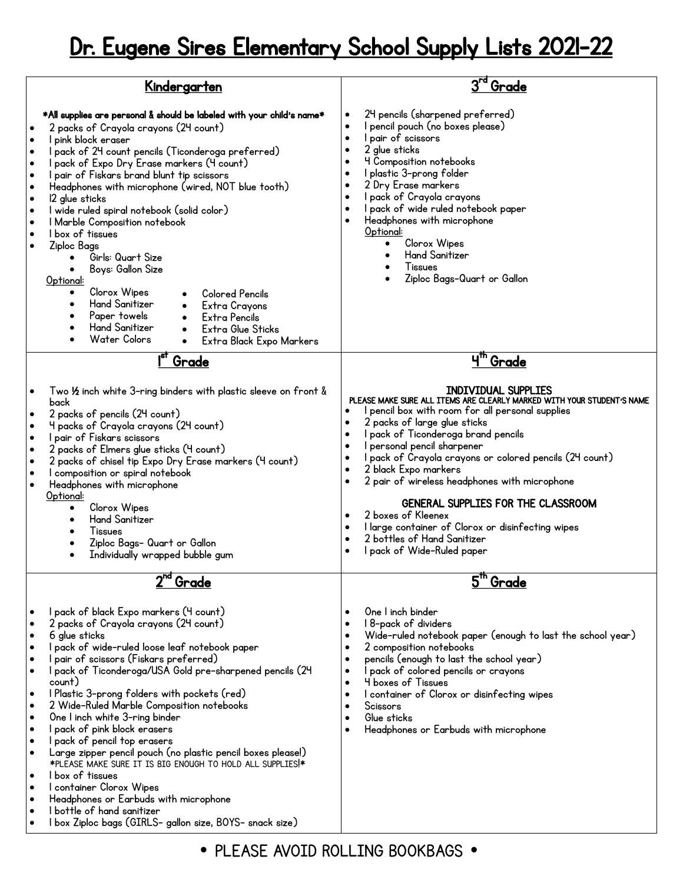## Dr. Eugene Sires Elementary School Supply Lists 2021-22

|                                                                         | <u>Kindergarten</u>                                                                                                                                                                                                                                                                                                                                                                                                                                                                                                                                                                                                                                                                                                                                                            | ' Grade                                                                                                                                                                                                                                                                                                                                                                                                                                                                                                                                                                                          |
|-------------------------------------------------------------------------|--------------------------------------------------------------------------------------------------------------------------------------------------------------------------------------------------------------------------------------------------------------------------------------------------------------------------------------------------------------------------------------------------------------------------------------------------------------------------------------------------------------------------------------------------------------------------------------------------------------------------------------------------------------------------------------------------------------------------------------------------------------------------------|--------------------------------------------------------------------------------------------------------------------------------------------------------------------------------------------------------------------------------------------------------------------------------------------------------------------------------------------------------------------------------------------------------------------------------------------------------------------------------------------------------------------------------------------------------------------------------------------------|
| $\bullet$<br>$\bullet$<br>$\bullet$<br>٠<br>$\bullet$<br>$\bullet$<br>٠ | *All supplies are personal & should be labeled with your child's name*<br>2 packs of Crayola crayons (24 count)<br>I pink block eraser<br>I pack of 24 count pencils (Ticonderoga preferred)<br>I pack of Expo Dry Erase markers (4 count)<br>I pair of Fiskars brand blunt tip scissors<br>Headphones with microphone (wired, NOT blue tooth)<br>12 glue sticks<br>I wide ruled spiral notebook (solid color)<br>I Marble Composition notebook<br>I box of tissues<br>Ziploc Bags<br>Girls: Quart Size<br>Boys: Gallon Size<br>Optional:<br>Clorox Wipes<br><b>Colored Pencils</b><br><b>Hand Sanitizer</b><br>Extra Crayons<br>Paper towels<br>Extra Pencils<br><b>Hand Sanitizer</b><br>Extra Glue Sticks<br>Water Colors<br>Extra Black Expo Markers                       | 24 pencils (sharpened preferred)<br>I pencil pouch (no boxes please)<br>$\bullet$<br>I pair of scissors<br>$\bullet$<br>2 glue sticks<br>٠<br>4 Composition notebooks<br>I plastic 3-prong folder<br>2 Dry Erase markers<br>٠<br>I pack of Crayola crayons<br>$\bullet$<br>I pack of wide ruled notebook paper<br>Headphones with microphone<br>Optional:<br>Clorox Wipes<br><b>Hand Sanitizer</b><br>Tissues<br>Ziploc Bags-Quart or Gallon                                                                                                                                                     |
|                                                                         | 18T<br>Grade                                                                                                                                                                                                                                                                                                                                                                                                                                                                                                                                                                                                                                                                                                                                                                   | 4 <sup>th</sup><br>Grade                                                                                                                                                                                                                                                                                                                                                                                                                                                                                                                                                                         |
| ٠<br>$\bullet$<br>$\bullet$<br>٠<br>$\bullet$<br>$\bullet$              | Two 1/2 inch white 3-ring binders with plastic sleeve on front &<br>back<br>2 packs of pencils (24 count)<br>4 packs of Crayola crayons (24 count)<br>I pair of Fiskars scissors<br>2 packs of Elmers glue sticks (4 count)<br>2 packs of chisel tip Expo Dry Erase markers (4 count)<br>I composition or spiral notebook<br>Headphones with microphone<br>Optional:<br>Clorox Wipes<br>$\bullet$<br><b>Hand Sanitizer</b><br>Tissues<br>Ziploc Bags- Quart or Gallon<br>Individually wrapped bubble gum<br>$\bullet$                                                                                                                                                                                                                                                          | <b>INDIVIDUAL SUPPLIES</b><br>PLEASE MAKE SURE ALL ITEMS ARE CLEARLY MARKED WITH YOUR STUDENT'S NAME<br>pencil box with room for all personal supplies<br>2 packs of large glue sticks<br>I pack of Ticonderoga brand pencils<br>I personal pencil sharpener<br>$\bullet$<br>l pack of Crayola crayons or colored pencils (24 count)<br>2 black Expo markers<br>2 pair of wireless headphones with microphone<br>٠<br>GENERAL SUPPLIES FOR THE CLASSROOM<br>2 boxes of Kleenex<br>I large container of Clorox or disinfecting wipes<br>2 bottles of Hand Sanitizer<br>I pack of Wide-Ruled paper |
|                                                                         | $2^{\overline{nd}}$<br>Grade                                                                                                                                                                                                                                                                                                                                                                                                                                                                                                                                                                                                                                                                                                                                                   | 5 <sup>th</sup><br>Grade<br>One I inch binder                                                                                                                                                                                                                                                                                                                                                                                                                                                                                                                                                    |
| ٠<br>$\bullet$<br>٠<br>٠<br>٠<br>٠<br>٠<br>$\bullet$<br>٠<br>٠          | I pack of black Expo markers (4 count)<br>2 packs of Crayola crayons (24 count)<br>6 glue sticks<br>I pack of wide-ruled loose leaf notebook paper<br>pair of scissors (Fiskars preferred)<br>I pack of Ticonderoga/USA Gold pre-sharpened pencils (24<br>count)<br>I Plastic 3-prong folders with pockets (red)<br>2 Wide-Ruled Marble Composition notebooks<br>One I inch white 3-ring binder<br>I pack of pink block erasers<br>I pack of pencil top erasers<br>Large zipper pencil pouch (no plastic pencil boxes please!)<br>*PLEASE MAKE SURE IT IS BIG ENOUGH TO HOLD ALL SUPPLIES!*<br>I box of tissues<br>I container Clorox Wipes<br>Headphones or Earbuds with microphone<br>I bottle of hand sanitizer<br>I box Ziploc bags (GIRLS- gallon size, BOYS- snack size) | 18-pack of dividers<br>Wide-ruled notebook paper (enough to last the school year)<br>2 composition notebooks<br>٠<br>pencils (enough to last the school year)<br>I pack of colored pencils or crayons<br><b>4 boxes of Tissues</b><br>I container of Clorox or disinfecting wipes<br>Scissors<br>Glue sticks<br>$\bullet$<br>Headphones or Earbuds with microphone                                                                                                                                                                                                                               |

• PLEASE AVOID ROLLING BOOKBAGS •